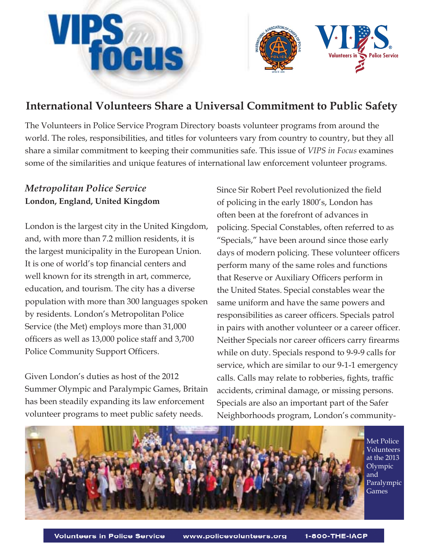



# **International Volunteers Share a Universal Commitment to Public Safety**

The Volunteers in Police Service Program Directory boasts volunteer programs from around the world. The roles, responsibilities, and titles for volunteers vary from country to country, but they all share a similar commitment to keeping their communities safe. This issue of *VIPS in Focus* examines some of the similarities and unique features of international law enforcement volunteer programs.

## *Metropolitan Police Service*  **London, England, United Kingdom**

London is the largest city in the United Kingdom, and, with more than 7.2 million residents, it is the largest municipality in the European Union. It is one of world's top financial centers and well known for its strength in art, commerce, education, and tourism. The city has a diverse population with more than 300 languages spoken by residents. London's Metropolitan Police Service (the Met) employs more than 31,000 officers as well as 13,000 police staff and 3,700 Police Community Support Officers.

Given London's duties as host of the 2012 Summer Olympic and Paralympic Games, Britain has been steadily expanding its law enforcement volunteer programs to meet public safety needs.

Since Sir Robert Peel revolutionized the field of policing in the early 1800's, London has often been at the forefront of advances in policing. Special Constables, often referred to as "Specials," have been around since those early days of modern policing. These volunteer officers perform many of the same roles and functions that Reserve or Auxiliary Officers perform in the United States. Special constables wear the same uniform and have the same powers and responsibilities as career officers. Specials patrol in pairs with another volunteer or a career officer. Neither Specials nor career officers carry firearms while on duty. Specials respond to 9-9-9 calls for service, which are similar to our 9-1-1 emergency calls. Calls may relate to robberies, fights, traffic accidents, criminal damage, or missing persons. Specials are also an important part of the Safer Neighborhoods program, London's community-



Met Police Volunteers at the 2013 Olympic and Paralympic Games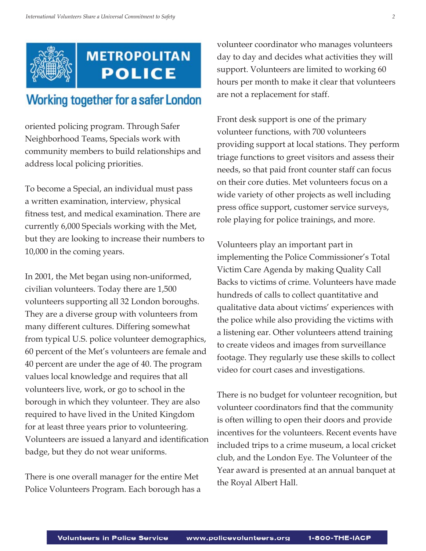

# **METROPOLITAN POLICE**

# **Working together for a safer London**

oriented policing program. Through Safer Neighborhood Teams, Specials work with community members to build relationships and address local policing priorities.

To become a Special, an individual must pass a written examination, interview, physical fitness test, and medical examination. There are currently 6,000 Specials working with the Met, but they are looking to increase their numbers to 10,000 in the coming years.

In 2001, the Met began using non-uniformed, civilian volunteers. Today there are 1,500 volunteers supporting all 32 London boroughs. They are a diverse group with volunteers from many different cultures. Differing somewhat from typical U.S. police volunteer demographics, 60 percent of the Met's volunteers are female and 40 percent are under the age of 40. The program values local knowledge and requires that all volunteers live, work, or go to school in the borough in which they volunteer. They are also required to have lived in the United Kingdom for at least three years prior to volunteering. Volunteers are issued a lanyard and identification badge, but they do not wear uniforms.

There is one overall manager for the entire Met Police Volunteers Program. Each borough has a

volunteer coordinator who manages volunteers day to day and decides what activities they will support. Volunteers are limited to working 60 hours per month to make it clear that volunteers are not a replacement for staff.

Front desk support is one of the primary volunteer functions, with 700 volunteers providing support at local stations. They perform triage functions to greet visitors and assess their needs, so that paid front counter staff can focus on their core duties. Met volunteers focus on a wide variety of other projects as well including press office support, customer service surveys, role playing for police trainings, and more.

Volunteers play an important part in implementing the Police Commissioner's Total Victim Care Agenda by making Quality Call Backs to victims of crime. Volunteers have made hundreds of calls to collect quantitative and qualitative data about victims' experiences with the police while also providing the victims with a listening ear. Other volunteers attend training to create videos and images from surveillance footage. They regularly use these skills to collect video for court cases and investigations.

There is no budget for volunteer recognition, but volunteer coordinators find that the community is often willing to open their doors and provide incentives for the volunteers. Recent events have included trips to a crime museum, a local cricket club, and the London Eye. The Volunteer of the Year award is presented at an annual banquet at the Royal Albert Hall.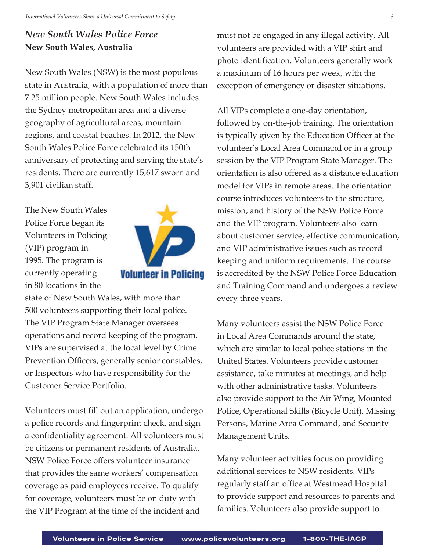## *New South Wales Police Force* **New South Wales, Australia**

New South Wales (NSW) is the most populous state in Australia, with a population of more than 7.25 million people. New South Wales includes the Sydney metropolitan area and a diverse geography of agricultural areas, mountain regions, and coastal beaches. In 2012, the New South Wales Police Force celebrated its 150th anniversary of protecting and serving the state's residents. There are currently 15,617 sworn and 3,901 civilian staff.

The New South Wales Police Force began its Volunteers in Policing (VIP) program in 1995. The program is currently operating in 80 locations in the



state of New South Wales, with more than 500 volunteers supporting their local police. The VIP Program State Manager oversees operations and record keeping of the program. VIPs are supervised at the local level by Crime Prevention Officers, generally senior constables, or Inspectors who have responsibility for the Customer Service Portfolio.

Volunteers must fill out an application, undergo a police records and fingerprint check, and sign a confidentiality agreement. All volunteers must be citizens or permanent residents of Australia. NSW Police Force offers volunteer insurance that provides the same workers' compensation coverage as paid employees receive. To qualify for coverage, volunteers must be on duty with the VIP Program at the time of the incident and

must not be engaged in any illegal activity. All volunteers are provided with a VIP shirt and photo identification. Volunteers generally work a maximum of 16 hours per week, with the exception of emergency or disaster situations.

All VIPs complete a one-day orientation, followed by on-the-job training. The orientation is typically given by the Education Officer at the volunteer's Local Area Command or in a group session by the VIP Program State Manager. The orientation is also offered as a distance education model for VIPs in remote areas. The orientation course introduces volunteers to the structure, mission, and history of the NSW Police Force and the VIP program. Volunteers also learn about customer service, effective communication, and VIP administrative issues such as record keeping and uniform requirements. The course is accredited by the NSW Police Force Education and Training Command and undergoes a review every three years.

Many volunteers assist the NSW Police Force in Local Area Commands around the state, which are similar to local police stations in the United States. Volunteers provide customer assistance, take minutes at meetings, and help with other administrative tasks. Volunteers also provide support to the Air Wing, Mounted Police, Operational Skills (Bicycle Unit), Missing Persons, Marine Area Command, and Security Management Units.

Many volunteer activities focus on providing additional services to NSW residents. VIPs regularly staff an office at Westmead Hospital to provide support and resources to parents and families. Volunteers also provide support to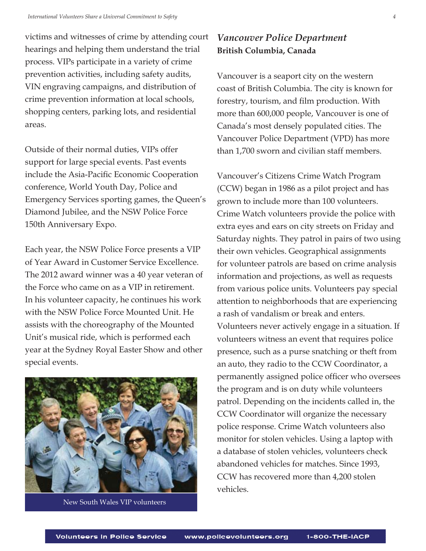victims and witnesses of crime by attending court hearings and helping them understand the trial process. VIPs participate in a variety of crime prevention activities, including safety audits, VIN engraving campaigns, and distribution of crime prevention information at local schools, shopping centers, parking lots, and residential areas.

Outside of their normal duties, VIPs offer support for large special events. Past events include the Asia-Pacific Economic Cooperation conference, World Youth Day, Police and Emergency Services sporting games, the Queen's Diamond Jubilee, and the NSW Police Force 150th Anniversary Expo.

Each year, the NSW Police Force presents a VIP of Year Award in Customer Service Excellence. The 2012 award winner was a 40 year veteran of the Force who came on as a VIP in retirement. In his volunteer capacity, he continues his work with the NSW Police Force Mounted Unit. He assists with the choreography of the Mounted Unit's musical ride, which is performed each year at the Sydney Royal Easter Show and other special events.



New South Wales VIP volunteers

### *Vancouver Police Department* **British Columbia, Canada**

Vancouver is a seaport city on the western coast of British Columbia. The city is known for forestry, tourism, and film production. With more than 600,000 people, Vancouver is one of Canada's most densely populated cities. The Vancouver Police Department (VPD) has more than 1,700 sworn and civilian staff members.

Vancouver's Citizens Crime Watch Program (CCW) began in 1986 as a pilot project and has grown to include more than 100 volunteers. Crime Watch volunteers provide the police with extra eyes and ears on city streets on Friday and Saturday nights. They patrol in pairs of two using their own vehicles. Geographical assignments for volunteer patrols are based on crime analysis information and projections, as well as requests from various police units. Volunteers pay special attention to neighborhoods that are experiencing a rash of vandalism or break and enters. Volunteers never actively engage in a situation. If volunteers witness an event that requires police presence, such as a purse snatching or theft from an auto, they radio to the CCW Coordinator, a permanently assigned police officer who oversees the program and is on duty while volunteers patrol. Depending on the incidents called in, the CCW Coordinator will organize the necessary police response. Crime Watch volunteers also monitor for stolen vehicles. Using a laptop with a database of stolen vehicles, volunteers check abandoned vehicles for matches. Since 1993, CCW has recovered more than 4,200 stolen vehicles.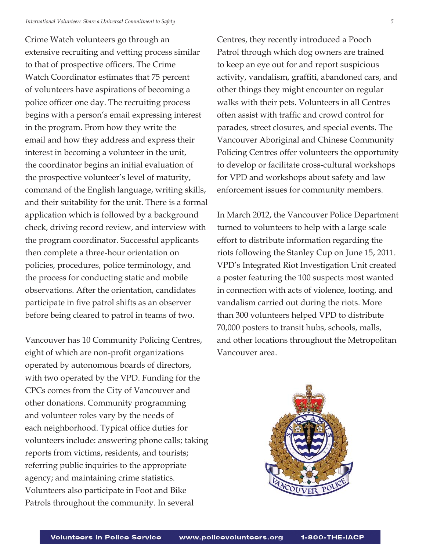Crime Watch volunteers go through an extensive recruiting and vetting process similar to that of prospective officers. The Crime Watch Coordinator estimates that 75 percent of volunteers have aspirations of becoming a police officer one day. The recruiting process begins with a person's email expressing interest in the program. From how they write the email and how they address and express their interest in becoming a volunteer in the unit, the coordinator begins an initial evaluation of the prospective volunteer's level of maturity, command of the English language, writing skills, and their suitability for the unit. There is a formal application which is followed by a background check, driving record review, and interview with the program coordinator. Successful applicants then complete a three-hour orientation on policies, procedures, police terminology, and the process for conducting static and mobile observations. After the orientation, candidates participate in five patrol shifts as an observer before being cleared to patrol in teams of two.

Vancouver has 10 Community Policing Centres, eight of which are non-profit organizations operated by autonomous boards of directors, with two operated by the VPD. Funding for the CPCs comes from the City of Vancouver and other donations. Community programming and volunteer roles vary by the needs of each neighborhood. Typical office duties for volunteers include: answering phone calls; taking reports from victims, residents, and tourists; referring public inquiries to the appropriate agency; and maintaining crime statistics. Volunteers also participate in Foot and Bike Patrols throughout the community. In several

Centres, they recently introduced a Pooch Patrol through which dog owners are trained to keep an eye out for and report suspicious activity, vandalism, graffiti, abandoned cars, and other things they might encounter on regular walks with their pets. Volunteers in all Centres often assist with traffic and crowd control for parades, street closures, and special events. The Vancouver Aboriginal and Chinese Community Policing Centres offer volunteers the opportunity to develop or facilitate cross-cultural workshops for VPD and workshops about safety and law enforcement issues for community members.

In March 2012, the Vancouver Police Department turned to volunteers to help with a large scale effort to distribute information regarding the riots following the Stanley Cup on June 15, 2011. VPD's Integrated Riot Investigation Unit created a poster featuring the 100 suspects most wanted in connection with acts of violence, looting, and vandalism carried out during the riots. More than 300 volunteers helped VPD to distribute 70,000 posters to transit hubs, schools, malls, and other locations throughout the Metropolitan Vancouver area.